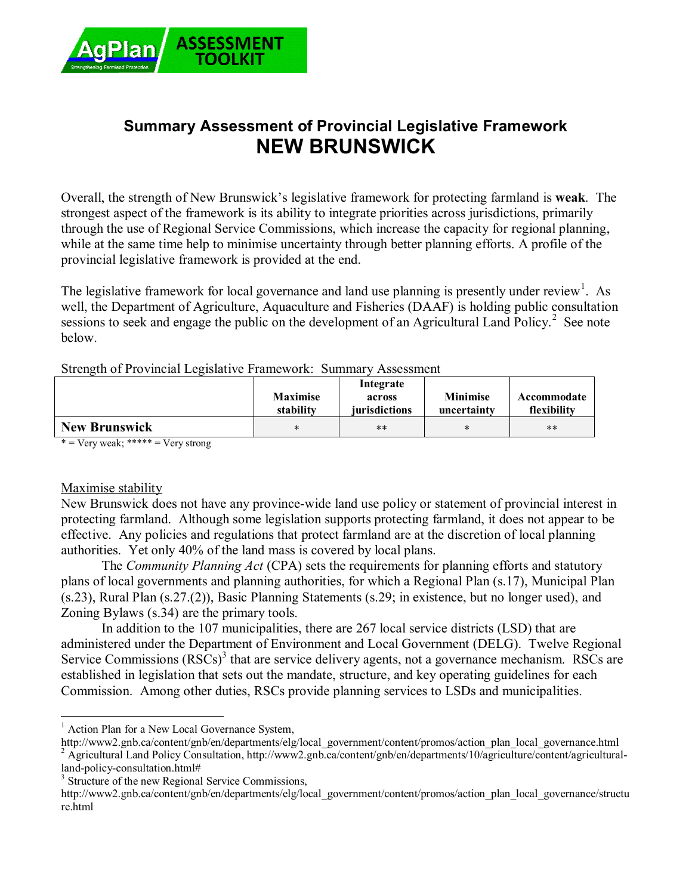

# **Summary Assessment of Provincial Legislative Framework NEW BRUNSWICK**

Overall, the strength of New Brunswick's legislative framework for protecting farmland is **weak**. The strongest aspect of the framework is its ability to integrate priorities across jurisdictions, primarily through the use of Regional Service Commissions, which increase the capacity for regional planning, while at the same time help to minimise uncertainty through better planning efforts. A profile of the provincial legislative framework is provided at the end.

The legislative framework for local governance and land use planning is presently under review<sup>1</sup>. As well, the Department of Agriculture, Aquaculture and Fisheries (DAAF) is holding public consultation sessions to seek and engage the public on the development of an Agricultural Land Policy.<sup>2</sup> See note below.

| Strength of Provincial Legislative Framework: Summary Assessment |  |  |  |
|------------------------------------------------------------------|--|--|--|
|                                                                  |  |  |  |

|                                                      | <b>Maximise</b><br>stability | Integrate<br>across<br>jurisdictions | <b>Minimise</b><br>uncertainty | Accommodate<br>flexibility |
|------------------------------------------------------|------------------------------|--------------------------------------|--------------------------------|----------------------------|
| <b>New Brunswick</b>                                 | ж                            | **                                   |                                | $***$                      |
| about the chairs of the most of<br>$\cdots$ $\cdots$ |                              |                                      |                                |                            |

 $*$  = Very weak; \*\*\*\*\* = Very strong

#### Maximise stability

New Brunswick does not have any province-wide land use policy or statement of provincial interest in protecting farmland. Although some legislation supports protecting farmland, it does not appear to be effective. Any policies and regulations that protect farmland are at the discretion of local planning authorities. Yet only 40% of the land mass is covered by local plans.

The *Community Planning Act* (CPA) sets the requirements for planning efforts and statutory plans of local governments and planning authorities, for which a Regional Plan (s.17), Municipal Plan (s.23), Rural Plan (s.27.(2)), Basic Planning Statements (s.29; in existence, but no longer used), and Zoning Bylaws (s.34) are the primary tools.

In addition to the 107 municipalities, there are 267 local service districts (LSD) that are administered under the Department of Environment and Local Government (DELG). Twelve Regional Service Commissions  $(RSCs)^3$  that are service delivery agents, not a governance mechanism. RSCs are established in legislation that sets out the mandate, structure, and key operating guidelines for each Commission. Among other duties, RSCs provide planning services to LSDs and municipalities.

 $\overline{a}$ 

<sup>&</sup>lt;sup>1</sup> Action Plan for a New Local Governance System,

http://www2.gnb.ca/content/gnb/en/departments/elg/local\_government/content/promos/action\_plan\_local\_governance.html <sup>2</sup> Agricultural Land Policy Consultation, http://www2.gnb.ca/content/gnb/en/departments/10/agriculture/content/agricultural-

land-policy-consultation.html#

<sup>&</sup>lt;sup>3</sup> Structure of the new Regional Service Commissions,

http://www2.gnb.ca/content/gnb/en/departments/elg/local\_government/content/promos/action\_plan\_local\_governance/structu re.html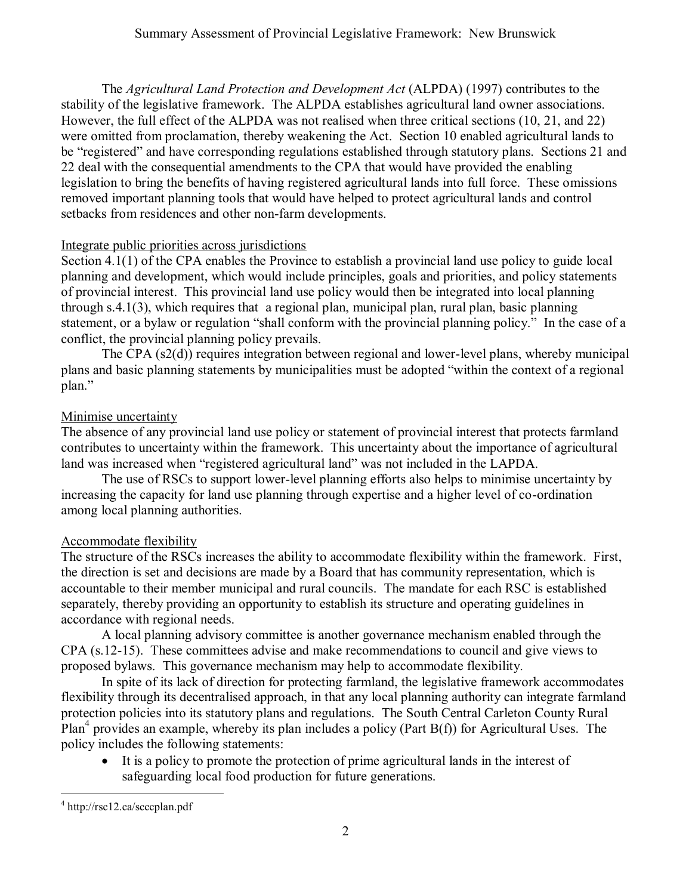The *Agricultural Land Protection and Development Act* (ALPDA) (1997) contributes to the stability of the legislative framework. The ALPDA establishes agricultural land owner associations. However, the full effect of the ALPDA was not realised when three critical sections (10, 21, and 22) were omitted from proclamation, thereby weakening the Act. Section 10 enabled agricultural lands to be "registered" and have corresponding regulations established through statutory plans. Sections 21 and 22 deal with the consequential amendments to the CPA that would have provided the enabling legislation to bring the benefits of having registered agricultural lands into full force. These omissions removed important planning tools that would have helped to protect agricultural lands and control setbacks from residences and other non-farm developments.

## Integrate public priorities across jurisdictions

Section 4.1(1) of the CPA enables the Province to establish a provincial land use policy to guide local planning and development, which would include principles, goals and priorities, and policy statements of provincial interest. This provincial land use policy would then be integrated into local planning through s.4.1(3), which requires that a regional plan, municipal plan, rural plan, basic planning statement, or a bylaw or regulation "shall conform with the provincial planning policy." In the case of a conflict, the provincial planning policy prevails.

The CPA (s2(d)) requires integration between regional and lower-level plans, whereby municipal plans and basic planning statements by municipalities must be adopted "within the context of a regional plan."

## Minimise uncertainty

The absence of any provincial land use policy or statement of provincial interest that protects farmland contributes to uncertainty within the framework. This uncertainty about the importance of agricultural land was increased when "registered agricultural land" was not included in the LAPDA.

The use of RSCs to support lower-level planning efforts also helps to minimise uncertainty by increasing the capacity for land use planning through expertise and a higher level of co-ordination among local planning authorities.

# Accommodate flexibility

The structure of the RSCs increases the ability to accommodate flexibility within the framework. First, the direction is set and decisions are made by a Board that has community representation, which is accountable to their member municipal and rural councils. The mandate for each RSC is established separately, thereby providing an opportunity to establish its structure and operating guidelines in accordance with regional needs.

A local planning advisory committee is another governance mechanism enabled through the CPA (s.12-15). These committees advise and make recommendations to council and give views to proposed bylaws. This governance mechanism may help to accommodate flexibility.

In spite of its lack of direction for protecting farmland, the legislative framework accommodates flexibility through its decentralised approach, in that any local planning authority can integrate farmland protection policies into its statutory plans and regulations. The South Central Carleton County Rural Plan<sup>4</sup> provides an example, whereby its plan includes a policy (Part  $B(f)$ ) for Agricultural Uses. The policy includes the following statements:

 It is a policy to promote the protection of prime agricultural lands in the interest of safeguarding local food production for future generations.

 $\overline{a}$ 4 http://rsc12.ca/scccplan.pdf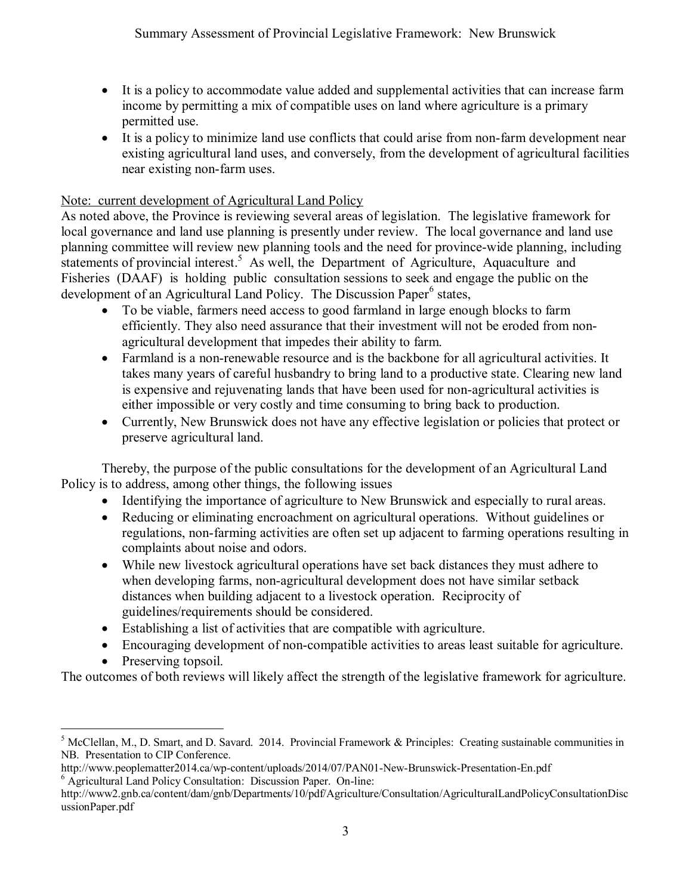- It is a policy to accommodate value added and supplemental activities that can increase farm income by permitting a mix of compatible uses on land where agriculture is a primary permitted use.
- It is a policy to minimize land use conflicts that could arise from non-farm development near existing agricultural land uses, and conversely, from the development of agricultural facilities near existing non-farm uses.

#### Note: current development of Agricultural Land Policy

As noted above, the Province is reviewing several areas of legislation. The legislative framework for local governance and land use planning is presently under review. The local governance and land use planning committee will review new planning tools and the need for province-wide planning, including statements of provincial interest.<sup>5</sup> As well, the Department of Agriculture, Aquaculture and Fisheries (DAAF) is holding public consultation sessions to seek and engage the public on the development of an Agricultural Land Policy. The Discussion Paper<sup>6</sup> states,

- To be viable, farmers need access to good farmland in large enough blocks to farm efficiently. They also need assurance that their investment will not be eroded from nonagricultural development that impedes their ability to farm.
- Farmland is a non-renewable resource and is the backbone for all agricultural activities. It takes many years of careful husbandry to bring land to a productive state. Clearing new land is expensive and rejuvenating lands that have been used for non-agricultural activities is either impossible or very costly and time consuming to bring back to production.
- Currently, New Brunswick does not have any effective legislation or policies that protect or preserve agricultural land.

Thereby, the purpose of the public consultations for the development of an Agricultural Land Policy is to address, among other things, the following issues

- Identifying the importance of agriculture to New Brunswick and especially to rural areas.
- Reducing or eliminating encroachment on agricultural operations. Without guidelines or regulations, non-farming activities are often set up adjacent to farming operations resulting in complaints about noise and odors.
- While new livestock agricultural operations have set back distances they must adhere to when developing farms, non-agricultural development does not have similar setback distances when building adjacent to a livestock operation. Reciprocity of guidelines/requirements should be considered.
- Establishing a list of activities that are compatible with agriculture.
- Encouraging development of non-compatible activities to areas least suitable for agriculture.
- Preserving topsoil.

The outcomes of both reviews will likely affect the strength of the legislative framework for agriculture.

 $\overline{a}$  $<sup>5</sup>$  McClellan, M., D. Smart, and D. Savard. 2014. Provincial Framework & Principles: Creating sustainable communities in</sup> NB. Presentation to CIP Conference.

http://www.peoplematter2014.ca/wp-content/uploads/2014/07/PAN01-New-Brunswick-Presentation-En.pdf <sup>6</sup> Agricultural Land Policy Consultation: Discussion Paper. On-line:

http://www2.gnb.ca/content/dam/gnb/Departments/10/pdf/Agriculture/Consultation/AgriculturalLandPolicyConsultationDisc ussionPaper.pdf